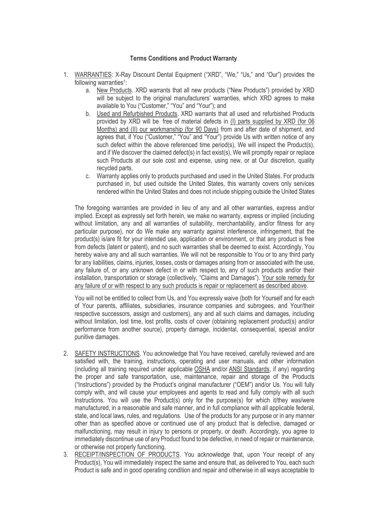## **Terms Conditions and Product Warranty**

- 1. WARRANTIES: X-Ray Discount Dental Equipment ("XRD", "We," "Us," and "Our") provides the following warranties<sup>1</sup>:
	- a. New Products. XRD warrants that all new products ("New Products") provided by XRD will be subject to the original manufacturers' warranties, which XRD agrees to make available to You ("Customer," "You" and "Your"); and
	- b. Used and Refurbished Products. XRD warrants that all used and refurbished Products provided by XRD will be free of material defects in (I) parts supplied by XRD (for 06 Months) and (II) our workmanship (for 90 Days) from and after date of shipment, and agrees that, if You ("Customer," "You" and "Your") provide Us with written notice of anv such defect within the above referenced time period(s), We will inspect the Product(s), and if We discover the claimed defect(s) in fact exist(s), We will promptly repair or replace such Products at our sole cost and expense, using new, or at Our discretion, quality recycled parts.
	- c. Warranty applies only to products purchased and used in the United States. For products purchased in, but used outside the United States, this warranty covers only services rendered within the United States and does not include shipping outside the United States

The foregoing warranties are provided in lieu of any and all other warranties, express and/or implied. Except as expressly set forth herein, we make no warranty, express or implied (including without limitation, any and all warranties of suitability, merchantability, and/or fitness for any particular purpose), nor do We make any warranty against interference, infringement, that the product(s) is/are fit for your intended use, application or environment, or that any product is free from defects (latent or patent), and no such warranties shall be deemed to exist. Accordingly, You hereby waive any and all such warranties. We will not be responsible to You or to any third party for any liabilities, claims, injuries, losses, costs or damages arising from or associated with the use, any failure of, or any unknown defect in or with respect to, any of such products and/or their installation, transportation or storage (collectively, "Claims and Damages"). Your sole remedy for any failure of or with respect to any such products is repair or replacement as described above.

You will not be entitled to collect from Us, and You expressly waive (both for Yourself and for each of Your parents, affiliates, subsidiaries, insurance companies and subrogees, and Your/their respective successors, assign and customers), any and all such claims and damages, including without limitation, lost time, lost profits, costs of cover (obtaining replacement product(s) and/or performance from another source), property damage, incidental, consequential, special and/or punitive damages.

- 2. SAFETY INSTRUCTIONS. You acknowledge that You have received, carefully reviewed and are satisfied with, the training, instructions, operating and user manuals, and other information (including all training required under applicable OSHA and/or ANSI Standards, if any) regarding the proper and safe transportation, use, maintenance, repair and storage of the Products ("Instructions") provided by the Product's original manufacturer ("OEM") and/or Us. You will fully comply with, and will cause your employees and agents to read and fully comply with all such Instructions. You will use the Product(s) only for the purpose(s) for which it/they was/were manufactured, in a reasonable and safe manner, and in full compliance with all applicable federal, state, and local laws, rules, and regulations. Use of the products for any purpose or in any manner other than as specified above or continued use of any product that is defective, damaged or malfunctioning, may result in injury to persons or property, or death. Accordingly, you agree to immediately discontinue use of any Product found to be defective, in need of repair or maintenance, or otherwise not properly functioning.
- 3. RECEIPT/INSPECTION OF PRODUCTS. You acknowledge that, upon Your receipt of any Product(s), You will immediately inspect the same and ensure that, as delivered to You, each such Product is safe and in good operating condition and repair and otherwise in all ways acceptable to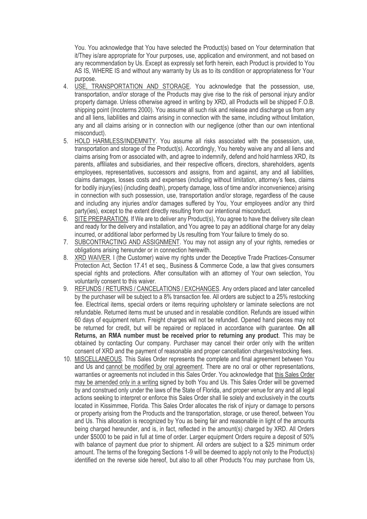You. You acknowledge that You have selected the Product(s) based on Your determination that it/They is/are appropriate for Your purposes, use, application and environment, and not based on any recommendation by Us. Except as expressly set forth herein, each Product is provided to You AS IS, WHERE IS and without any warranty by Us as to its condition or appropriateness for Your purpose.

- 4. USE, TRANSPORTATION AND STORAGE. You acknowledge that the possession, use, transportation, and/or storage of the Products may give rise to the risk of personal injury and/or property damage. Unless otherwise agreed in writing by XRD, all Products will be shipped F.O.B. shipping point (Incoterms 2000). You assume all such risk and release and discharge us from any and all liens, liabilities and claims arising in connection with the same, including without limitation, any and all claims arising or in connection with our negligence (other than our own intentional misconduct).
- 5. HOLD HARMLESS/INDEMNITY. You assume all risks associated with the possession, use, transportation and storage of the Product(s). Accordingly, You hereby waive any and all liens and claims arising from or associated with, and agree to indemnify, defend and hold harmless XRD, its parents, affiliates and subsidiaries, and their respective officers, directors, shareholders, agents employees, representatives, successors and assigns, from and against, any and all liabilities, claims damages, losses costs and expenses (including without limitation, attorney's fees, claims for bodily injury(ies) (including death), property damage, loss of time and/or inconvenience) arising in connection with such possession, use, transportation and/or storage, regardless of the cause and including any injuries and/or damages suffered by You, Your employees and/or any third party(ies), except to the extent directly resulting from our intentional misconduct.
- 6. SITE PREPARATION. If We are to deliver any Product(s), You agree to have the delivery site clean and ready for the delivery and installation, and You agree to pay an additional charge for any delay incurred, or additional labor performed by Us resulting from Your failure to timely do so.
- 7. SUBCONTRACTING AND ASSIGNMENT. You may not assign any of your rights, remedies or obligations arising hereunder or in connection herewith.
- 8. XRD WAIVER. I (the Customer) waive my rights under the Deceptive Trade Practices-Consumer Protection Act, Section 17.41 et seq., Business & Commerce Code, a law that gives consumers special rights and protections. After consultation with an attorney of Your own selection, You voluntarily consent to this waiver.
- 9. REFUNDS / RETURNS / CANCELATIONS / EXCHANGES. Any orders placed and later cancelled by the purchaser will be subject to a 8% transaction fee. All orders are subject to a 25% restocking fee. Electrical items, special orders or items requiring upholstery or laminate selections are not refundable. Returned items must be unused and in resalable condition. Refunds are issued within 60 days of equipment return. Freight charges will not be refunded. Opened hand pieces may not be returned for credit, but will be repaired or replaced in accordance with guarantee. **On all Returns, an RMA number must be received prior to returning any product**. This may be obtained by contacting Our company. Purchaser may cancel their order only with the written consent of XRD and the payment of reasonable and proper cancellation charges/restocking fees.
- 10. MISCELLANEOUS. This Sales Order represents the complete and final agreement between You and Us and cannot be modified by oral agreement. There are no oral or other representations, warranties or agreements not included in this Sales Order. You acknowledge that this Sales Order may be amended only in a writing signed by both You and Us. This Sales Order will be governed by and construed only under the laws of the State of Florida, and proper venue for any and all legal actions seeking to interpret or enforce this Sales Order shall lie solely and exclusively in the courts located in Kissimmee, Florida. This Sales Order allocates the risk of injury or damage to persons or property arising from the Products and the transportation, storage, or use thereof, between You and Us. This allocation is recognized by You as being fair and reasonable in light of the amounts being charged hereunder, and is, in fact, reflected in the amount(s) charged by XRD. All Orders under \$5000 to be paid in full at time of order. Larger equipment Orders require a deposit of 50% with balance of payment due prior to shipment. All orders are subject to a \$25 minimum order amount. The terms of the foregoing Sections 1-9 will be deemed to apply not only to the Product(s) identified on the reverse side hereof, but also to all other Products You may purchase from Us,